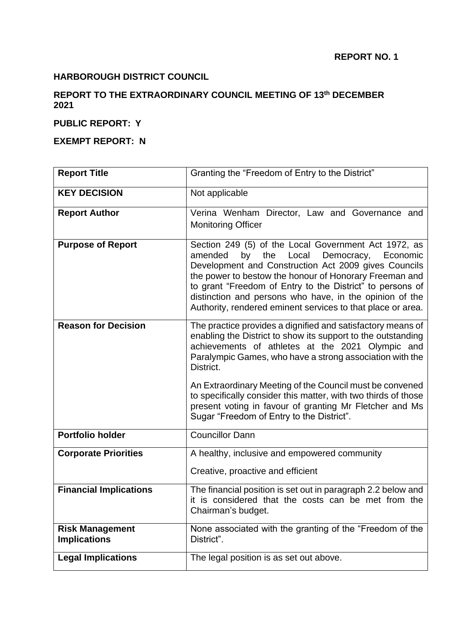# **HARBOROUGH DISTRICT COUNCIL**

## **REPORT TO THE EXTRAORDINARY COUNCIL MEETING OF 13th DECEMBER 2021**

### **PUBLIC REPORT: Y**

#### **EXEMPT REPORT: N**

| <b>Report Title</b>                           | Granting the "Freedom of Entry to the District"                                                                                                                                                                                                                                                                                                                                                                                                                                                |
|-----------------------------------------------|------------------------------------------------------------------------------------------------------------------------------------------------------------------------------------------------------------------------------------------------------------------------------------------------------------------------------------------------------------------------------------------------------------------------------------------------------------------------------------------------|
| <b>KEY DECISION</b>                           | Not applicable                                                                                                                                                                                                                                                                                                                                                                                                                                                                                 |
| <b>Report Author</b>                          | Verina Wenham Director, Law and Governance and<br><b>Monitoring Officer</b>                                                                                                                                                                                                                                                                                                                                                                                                                    |
| <b>Purpose of Report</b>                      | Section 249 (5) of the Local Government Act 1972, as<br>by the Local<br>Democracy,<br>amended<br>Economic<br>Development and Construction Act 2009 gives Councils<br>the power to bestow the honour of Honorary Freeman and<br>to grant "Freedom of Entry to the District" to persons of<br>distinction and persons who have, in the opinion of the<br>Authority, rendered eminent services to that place or area.                                                                             |
| <b>Reason for Decision</b>                    | The practice provides a dignified and satisfactory means of<br>enabling the District to show its support to the outstanding<br>achievements of athletes at the 2021 Olympic and<br>Paralympic Games, who have a strong association with the<br>District.<br>An Extraordinary Meeting of the Council must be convened<br>to specifically consider this matter, with two thirds of those<br>present voting in favour of granting Mr Fletcher and Ms<br>Sugar "Freedom of Entry to the District". |
| <b>Portfolio holder</b>                       | <b>Councillor Dann</b>                                                                                                                                                                                                                                                                                                                                                                                                                                                                         |
| <b>Corporate Priorities</b>                   | A healthy, inclusive and empowered community<br>Creative, proactive and efficient                                                                                                                                                                                                                                                                                                                                                                                                              |
| <b>Financial Implications</b>                 | The financial position is set out in paragraph 2.2 below and<br>it is considered that the costs can be met from the<br>Chairman's budget.                                                                                                                                                                                                                                                                                                                                                      |
| <b>Risk Management</b><br><b>Implications</b> | None associated with the granting of the "Freedom of the<br>District".                                                                                                                                                                                                                                                                                                                                                                                                                         |
| <b>Legal Implications</b>                     | The legal position is as set out above.                                                                                                                                                                                                                                                                                                                                                                                                                                                        |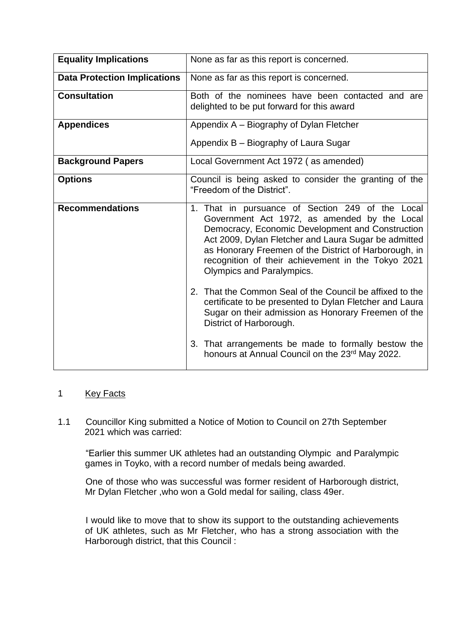| <b>Equality Implications</b>        | None as far as this report is concerned.                                                                                                                                                                                                                                                                                                                 |
|-------------------------------------|----------------------------------------------------------------------------------------------------------------------------------------------------------------------------------------------------------------------------------------------------------------------------------------------------------------------------------------------------------|
| <b>Data Protection Implications</b> | None as far as this report is concerned.                                                                                                                                                                                                                                                                                                                 |
| <b>Consultation</b>                 | Both of the nominees have been contacted and are<br>delighted to be put forward for this award                                                                                                                                                                                                                                                           |
| <b>Appendices</b>                   | Appendix A – Biography of Dylan Fletcher                                                                                                                                                                                                                                                                                                                 |
|                                     | Appendix B – Biography of Laura Sugar                                                                                                                                                                                                                                                                                                                    |
| <b>Background Papers</b>            | Local Government Act 1972 (as amended)                                                                                                                                                                                                                                                                                                                   |
| <b>Options</b>                      | Council is being asked to consider the granting of the<br>"Freedom of the District".                                                                                                                                                                                                                                                                     |
| <b>Recommendations</b>              | 1. That in pursuance of Section 249 of the Local<br>Government Act 1972, as amended by the Local<br>Democracy, Economic Development and Construction<br>Act 2009, Dylan Fletcher and Laura Sugar be admitted<br>as Honorary Freemen of the District of Harborough, in<br>recognition of their achievement in the Tokyo 2021<br>Olympics and Paralympics. |
|                                     | 2. That the Common Seal of the Council be affixed to the<br>certificate to be presented to Dylan Fletcher and Laura<br>Sugar on their admission as Honorary Freemen of the<br>District of Harborough.                                                                                                                                                    |
|                                     | 3. That arrangements be made to formally bestow the<br>honours at Annual Council on the 23rd May 2022.                                                                                                                                                                                                                                                   |

## 1 Key Facts

1.1 Councillor King submitted a Notice of Motion to Council on 27th September 2021 which was carried:

 "Earlier this summer UK athletes had an outstanding Olympic and Paralympic games in Toyko, with a record number of medals being awarded.

 One of those who was successful was former resident of Harborough district, Mr Dylan Fletcher ,who won a Gold medal for sailing, class 49er.

 I would like to move that to show its support to the outstanding achievements of UK athletes, such as Mr Fletcher, who has a strong association with the Harborough district, that this Council :